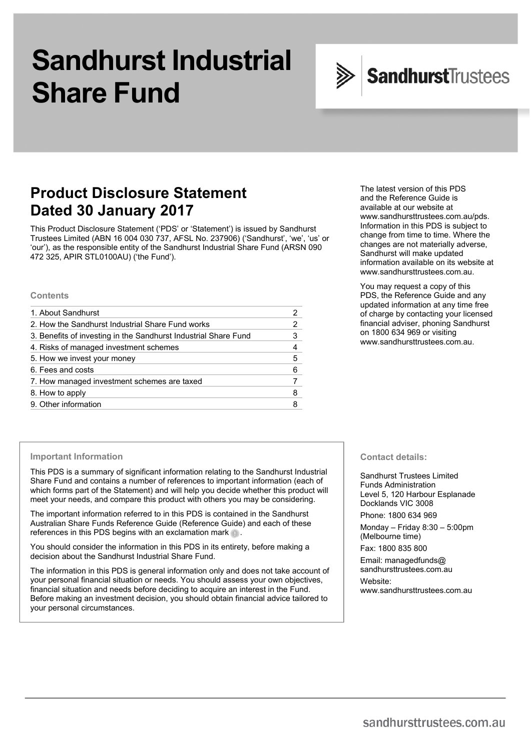# **Sandhurst Industrial Share Fund**



# **Product Disclosure Statement Dated 30 January 2017**

This Product Disclosure Statement ('PDS' or 'Statement') is issued by Sandhurst Trustees Limited (ABN 16 004 030 737, AFSL No. 237906) ('Sandhurst', 'we', 'us' or 'our'), as the responsible entity of the Sandhurst Industrial Share Fund (ARSN 090 472 325, APIR STL0100AU) ('the Fund').

#### **Contents**

| 1. About Sandhurst                                              |   |
|-----------------------------------------------------------------|---|
| 2. How the Sandhurst Industrial Share Fund works                |   |
| 3. Benefits of investing in the Sandhurst Industrial Share Fund | 3 |
| 4. Risks of managed investment schemes                          |   |
| 5. How we invest your money                                     | 5 |
| 6. Fees and costs                                               | 6 |
| 7. How managed investment schemes are taxed                     |   |
| 8. How to apply                                                 | 8 |
| 9. Other information                                            |   |

#### The latest version of this PDS and the Reference Guide is available at our website at www.sandhursttrustees.com.au/pds. Information in this PDS is subject to change from time to time. Where the changes are not materially adverse, Sandhurst will make updated information available on its website at www.sandhursttrustees.com.au.

You may request a copy of this PDS, the Reference Guide and any updated information at any time free of charge by contacting your licensed financial adviser, phoning Sandhurst on 1800 634 969 or visiting www.sandhursttrustees.com.au.

#### **Important Information**

This PDS is a summary of significant information relating to the Sandhurst Industrial Share Fund and contains a number of references to important information (each of which forms part of the Statement) and will help you decide whether this product will meet your needs, and compare this product with others you may be considering.

The important information referred to in this PDS is contained in the Sandhurst Australian Share Funds Reference Guide (Reference Guide) and each of these references in this PDS begins with an exclamation mark ...

You should consider the information in this PDS in its entirety, before making a decision about the Sandhurst Industrial Share Fund.

The information in this PDS is general information only and does not take account of your personal financial situation or needs. You should assess your own objectives, financial situation and needs before deciding to acquire an interest in the Fund. Before making an investment decision, you should obtain financial advice tailored to your personal circumstances.

**Contact details:** 

Sandhurst Trustees Limited Funds Administration Level 5, 120 Harbour Esplanade Docklands VIC 3008

Phone: 1800 634 969

Monday – Friday 8:30 – 5:00pm (Melbourne time) Fax: 1800 835 800

Email: managedfunds@ sandhursttrustees.com.au

Website: www.sandhursttrustees.com.au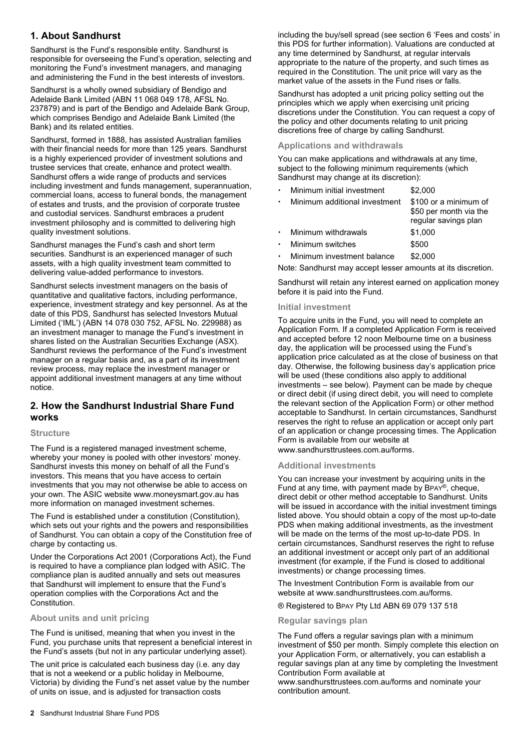# **1. About Sandhurst**

Sandhurst is the Fund's responsible entity. Sandhurst is responsible for overseeing the Fund's operation, selecting and monitoring the Fund's investment managers, and managing and administering the Fund in the best interests of investors.

Sandhurst is a wholly owned subsidiary of Bendigo and Adelaide Bank Limited (ABN 11 068 049 178, AFSL No. 237879) and is part of the Bendigo and Adelaide Bank Group, which comprises Bendigo and Adelaide Bank Limited (the Bank) and its related entities.

Sandhurst, formed in 1888, has assisted Australian families with their financial needs for more than 125 years. Sandhurst is a highly experienced provider of investment solutions and trustee services that create, enhance and protect wealth. Sandhurst offers a wide range of products and services including investment and funds management, superannuation, commercial loans, access to funeral bonds, the management of estates and trusts, and the provision of corporate trustee and custodial services. Sandhurst embraces a prudent investment philosophy and is committed to delivering high quality investment solutions.

Sandhurst manages the Fund's cash and short term securities. Sandhurst is an experienced manager of such assets, with a high quality investment team committed to delivering value-added performance to investors.

Sandhurst selects investment managers on the basis of quantitative and qualitative factors, including performance, experience, investment strategy and key personnel. As at the date of this PDS, Sandhurst has selected Investors Mutual Limited ('IML') (ABN 14 078 030 752, AFSL No. 229988) as an investment manager to manage the Fund's investment in shares listed on the Australian Securities Exchange (ASX). Sandhurst reviews the performance of the Fund's investment manager on a regular basis and, as a part of its investment review process, may replace the investment manager or appoint additional investment managers at any time without notice.

# **2. How the Sandhurst Industrial Share Fund works**

#### **Structure**

The Fund is a registered managed investment scheme. whereby your money is pooled with other investors' money. Sandhurst invests this money on behalf of all the Fund's investors. This means that you have access to certain investments that you may not otherwise be able to access on your own. The ASIC website www.moneysmart.gov.au has more information on managed investment schemes.

The Fund is established under a constitution (Constitution), which sets out your rights and the powers and responsibilities of Sandhurst. You can obtain a copy of the Constitution free of charge by contacting us.

Under the Corporations Act 2001 (Corporations Act), the Fund is required to have a compliance plan lodged with ASIC. The compliance plan is audited annually and sets out measures that Sandhurst will implement to ensure that the Fund's operation complies with the Corporations Act and the Constitution.

#### **About units and unit pricing**

The Fund is unitised, meaning that when you invest in the Fund, you purchase units that represent a beneficial interest in the Fund's assets (but not in any particular underlying asset).

The unit price is calculated each business day (i.e. any day that is not a weekend or a public holiday in Melbourne, Victoria) by dividing the Fund's net asset value by the number of units on issue, and is adjusted for transaction costs

including the buy/sell spread (see section 6 'Fees and costs' in this PDS for further information). Valuations are conducted at any time determined by Sandhurst, at regular intervals appropriate to the nature of the property, and such times as required in the Constitution. The unit price will vary as the market value of the assets in the Fund rises or falls.

Sandhurst has adopted a unit pricing policy setting out the principles which we apply when exercising unit pricing discretions under the Constitution. You can request a copy of the policy and other documents relating to unit pricing discretions free of charge by calling Sandhurst.

#### **Applications and withdrawals**

You can make applications and withdrawals at any time, subject to the following minimum requirements (which Sandhurst may change at its discretion):

| Minimum initial investment    | \$2,000                                                                 |
|-------------------------------|-------------------------------------------------------------------------|
| Minimum additional investment | \$100 or a minimum of<br>\$50 per month via the<br>regular savings plan |
| Minimum withdrawals           | \$1,000                                                                 |
| Minimum switches              | \$500                                                                   |
| Minimum investment balance    | \$2,000                                                                 |

Note: Sandhurst may accept lesser amounts at its discretion.

Sandhurst will retain any interest earned on application money before it is paid into the Fund.

#### **Initial investment**

To acquire units in the Fund, you will need to complete an Application Form. If a completed Application Form is received and accepted before 12 noon Melbourne time on a business day, the application will be processed using the Fund's application price calculated as at the close of business on that day. Otherwise, the following business day's application price will be used (these conditions also apply to additional investments – see below). Payment can be made by cheque or direct debit (if using direct debit, you will need to complete the relevant section of the Application Form) or other method acceptable to Sandhurst. In certain circumstances, Sandhurst reserves the right to refuse an application or accept only part of an application or change processing times. The Application Form is available from our website at www.sandhursttrustees.com.au/forms.

#### **Additional investments**

You can increase your investment by acquiring units in the Fund at any time, with payment made by BPAY®, cheque, direct debit or other method acceptable to Sandhurst. Units will be issued in accordance with the initial investment timings listed above. You should obtain a copy of the most up-to-date PDS when making additional investments, as the investment will be made on the terms of the most up-to-date PDS. In certain circumstances, Sandhurst reserves the right to refuse an additional investment or accept only part of an additional investment (for example, if the Fund is closed to additional investments) or change processing times.

The Investment Contribution Form is available from our website at www.sandhursttrustees.com.au/forms.

® Registered to BPAY Pty Ltd ABN 69 079 137 518

#### **Regular savings plan**

The Fund offers a regular savings plan with a minimum investment of \$50 per month. Simply complete this election on your Application Form, or alternatively, you can establish a regular savings plan at any time by completing the Investment Contribution Form available at

www.sandhursttrustees.com.au/forms and nominate your contribution amount.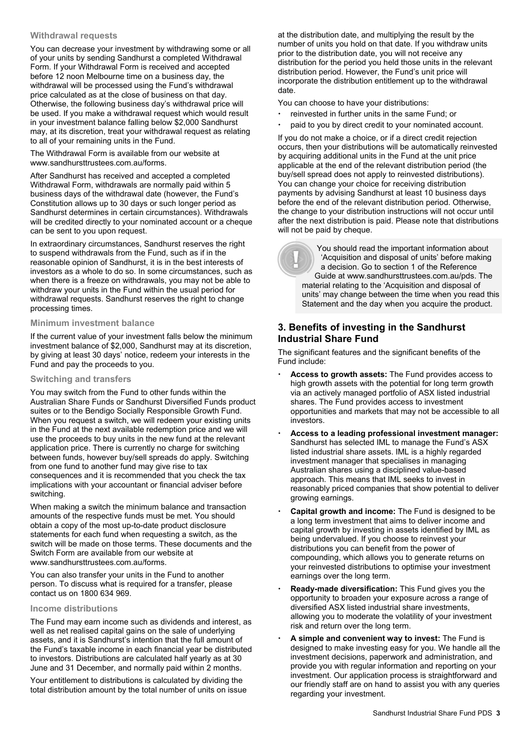#### **Withdrawal requests**

You can decrease your investment by withdrawing some or all of your units by sending Sandhurst a completed Withdrawal Form. If your Withdrawal Form is received and accepted before 12 noon Melbourne time on a business day, the withdrawal will be processed using the Fund's withdrawal price calculated as at the close of business on that day. Otherwise, the following business day's withdrawal price will be used. If you make a withdrawal request which would result in your investment balance falling below \$2,000 Sandhurst may, at its discretion, treat your withdrawal request as relating to all of your remaining units in the Fund.

The Withdrawal Form is available from our website at www.sandhursttrustees.com.au/forms.

After Sandhurst has received and accepted a completed Withdrawal Form, withdrawals are normally paid within 5 business days of the withdrawal date (however, the Fund's Constitution allows up to 30 days or such longer period as Sandhurst determines in certain circumstances). Withdrawals will be credited directly to your nominated account or a cheque can be sent to you upon request.

In extraordinary circumstances, Sandhurst reserves the right to suspend withdrawals from the Fund, such as if in the reasonable opinion of Sandhurst, it is in the best interests of investors as a whole to do so. In some circumstances, such as when there is a freeze on withdrawals, you may not be able to withdraw your units in the Fund within the usual period for withdrawal requests. Sandhurst reserves the right to change processing times.

#### **Minimum investment balance**

If the current value of your investment falls below the minimum investment balance of \$2,000, Sandhurst may at its discretion, by giving at least 30 days' notice, redeem your interests in the Fund and pay the proceeds to you.

#### **Switching and transfers**

You may switch from the Fund to other funds within the Australian Share Funds or Sandhurst Diversified Funds product suites or to the Bendigo Socially Responsible Growth Fund. When you request a switch, we will redeem your existing units in the Fund at the next available redemption price and we will use the proceeds to buy units in the new fund at the relevant application price. There is currently no charge for switching between funds, however buy/sell spreads do apply. Switching from one fund to another fund may give rise to tax consequences and it is recommended that you check the tax implications with your accountant or financial adviser before switching.

When making a switch the minimum balance and transaction amounts of the respective funds must be met. You should obtain a copy of the most up-to-date product disclosure statements for each fund when requesting a switch, as the switch will be made on those terms. These documents and the Switch Form are available from our website at www.sandhursttrustees.com.au/forms.

You can also transfer your units in the Fund to another person. To discuss what is required for a transfer, please contact us on 1800 634 969.

#### **Income distributions**

The Fund may earn income such as dividends and interest, as well as net realised capital gains on the sale of underlying assets, and it is Sandhurst's intention that the full amount of the Fund's taxable income in each financial year be distributed to investors. Distributions are calculated half yearly as at 30 June and 31 December, and normally paid within 2 months.

Your entitlement to distributions is calculated by dividing the total distribution amount by the total number of units on issue at the distribution date, and multiplying the result by the number of units you hold on that date. If you withdraw units prior to the distribution date, you will not receive any distribution for the period you held those units in the relevant distribution period. However, the Fund's unit price will incorporate the distribution entitlement up to the withdrawal date.

You can choose to have your distributions:

- reinvested in further units in the same Fund; or
- paid to you by direct credit to your nominated account.

If you do not make a choice, or if a direct credit rejection occurs, then your distributions will be automatically reinvested by acquiring additional units in the Fund at the unit price applicable at the end of the relevant distribution period (the buy/sell spread does not apply to reinvested distributions). You can change your choice for receiving distribution payments by advising Sandhurst at least 10 business days before the end of the relevant distribution period. Otherwise, the change to your distribution instructions will not occur until after the next distribution is paid. Please note that distributions will not be paid by cheque.

> You should read the important information about 'Acquisition and disposal of units' before making a decision. Go to section 1 of the Reference Guide at www.sandhursttrustees.com.au/pds. The material relating to the 'Acquisition and disposal of units' may change between the time when you read this Statement and the day when you acquire the product.

# **3. Benefits of investing in the Sandhurst Industrial Share Fund**

The significant features and the significant benefits of the Fund include:

- **Access to growth assets:** The Fund provides access to high growth assets with the potential for long term growth via an actively managed portfolio of ASX listed industrial shares. The Fund provides access to investment opportunities and markets that may not be accessible to all investors.
- **Access to a leading professional investment manager:** Sandhurst has selected IML to manage the Fund's ASX listed industrial share assets. IML is a highly regarded investment manager that specialises in managing Australian shares using a disciplined value-based approach. This means that IML seeks to invest in reasonably priced companies that show potential to deliver growing earnings.
- **Capital growth and income:** The Fund is designed to be a long term investment that aims to deliver income and capital growth by investing in assets identified by IML as being undervalued. If you choose to reinvest your distributions you can benefit from the power of compounding, which allows you to generate returns on your reinvested distributions to optimise your investment earnings over the long term.
- **Ready-made diversification:** This Fund gives you the opportunity to broaden your exposure across a range of diversified ASX listed industrial share investments, allowing you to moderate the volatility of your investment risk and return over the long term.
- **A simple and convenient way to invest:** The Fund is designed to make investing easy for you. We handle all the investment decisions, paperwork and administration, and provide you with regular information and reporting on your investment. Our application process is straightforward and our friendly staff are on hand to assist you with any queries regarding your investment.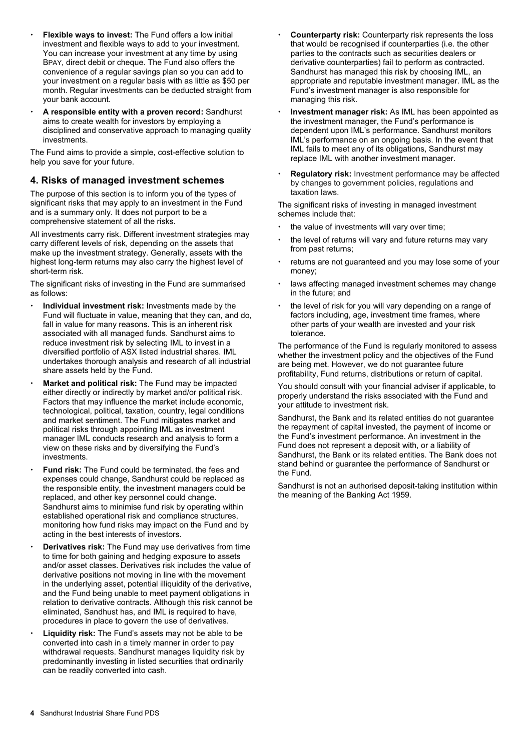- **Flexible ways to invest:** The Fund offers a low initial investment and flexible ways to add to your investment. You can increase your investment at any time by using BPAY, direct debit or cheque. The Fund also offers the convenience of a regular savings plan so you can add to your investment on a regular basis with as little as \$50 per month. Regular investments can be deducted straight from your bank account.
- **A responsible entity with a proven record:** Sandhurst aims to create wealth for investors by employing a disciplined and conservative approach to managing quality investments.

The Fund aims to provide a simple, cost-effective solution to help you save for your future.

#### **4. Risks of managed investment schemes**

The purpose of this section is to inform you of the types of significant risks that may apply to an investment in the Fund and is a summary only. It does not purport to be a comprehensive statement of all the risks.

All investments carry risk. Different investment strategies may carry different levels of risk, depending on the assets that make up the investment strategy. Generally, assets with the highest long-term returns may also carry the highest level of short-term risk.

The significant risks of investing in the Fund are summarised as follows:

- **Individual investment risk:** Investments made by the Fund will fluctuate in value, meaning that they can, and do, fall in value for many reasons. This is an inherent risk associated with all managed funds. Sandhurst aims to reduce investment risk by selecting IML to invest in a diversified portfolio of ASX listed industrial shares. IML undertakes thorough analysis and research of all industrial share assets held by the Fund.
- **Market and political risk:** The Fund may be impacted either directly or indirectly by market and/or political risk. Factors that may influence the market include economic, technological, political, taxation, country, legal conditions and market sentiment. The Fund mitigates market and political risks through appointing IML as investment manager IML conducts research and analysis to form a view on these risks and by diversifying the Fund's investments.
- **Fund risk:** The Fund could be terminated, the fees and expenses could change, Sandhurst could be replaced as the responsible entity, the investment managers could be replaced, and other key personnel could change. Sandhurst aims to minimise fund risk by operating within established operational risk and compliance structures, monitoring how fund risks may impact on the Fund and by acting in the best interests of investors.
- **Derivatives risk:** The Fund may use derivatives from time to time for both gaining and hedging exposure to assets and/or asset classes. Derivatives risk includes the value of derivative positions not moving in line with the movement in the underlying asset, potential illiquidity of the derivative, and the Fund being unable to meet payment obligations in relation to derivative contracts. Although this risk cannot be eliminated, Sandhust has, and IML is required to have, procedures in place to govern the use of derivatives.
- **Liquidity risk:** The Fund's assets may not be able to be converted into cash in a timely manner in order to pay withdrawal requests. Sandhurst manages liquidity risk by predominantly investing in listed securities that ordinarily can be readily converted into cash.
- **Counterparty risk:** Counterparty risk represents the loss that would be recognised if counterparties (i.e. the other parties to the contracts such as securities dealers or derivative counterparties) fail to perform as contracted. Sandhurst has managed this risk by choosing IML, an appropriate and reputable investment manager. IML as the Fund's investment manager is also responsible for managing this risk.
- **Investment manager risk:** As IML has been appointed as the investment manager, the Fund's performance is dependent upon IML's performance. Sandhurst monitors IML's performance on an ongoing basis. In the event that IML fails to meet any of its obligations, Sandhurst may replace IML with another investment manager.
- **Regulatory risk:** Investment performance may be affected by changes to government policies, regulations and taxation laws.

The significant risks of investing in managed investment schemes include that:

- the value of investments will vary over time;
- the level of returns will vary and future returns may vary from past returns;
- returns are not guaranteed and you may lose some of your money;
- laws affecting managed investment schemes may change in the future; and
- the level of risk for you will vary depending on a range of factors including, age, investment time frames, where other parts of your wealth are invested and your risk tolerance.

The performance of the Fund is regularly monitored to assess whether the investment policy and the objectives of the Fund are being met. However, we do not guarantee future profitability, Fund returns, distributions or return of capital.

You should consult with your financial adviser if applicable, to properly understand the risks associated with the Fund and your attitude to investment risk.

Sandhurst, the Bank and its related entities do not guarantee the repayment of capital invested, the payment of income or the Fund's investment performance. An investment in the Fund does not represent a deposit with, or a liability of Sandhurst, the Bank or its related entities. The Bank does not stand behind or guarantee the performance of Sandhurst or the Fund.

Sandhurst is not an authorised deposit-taking institution within the meaning of the Banking Act 1959.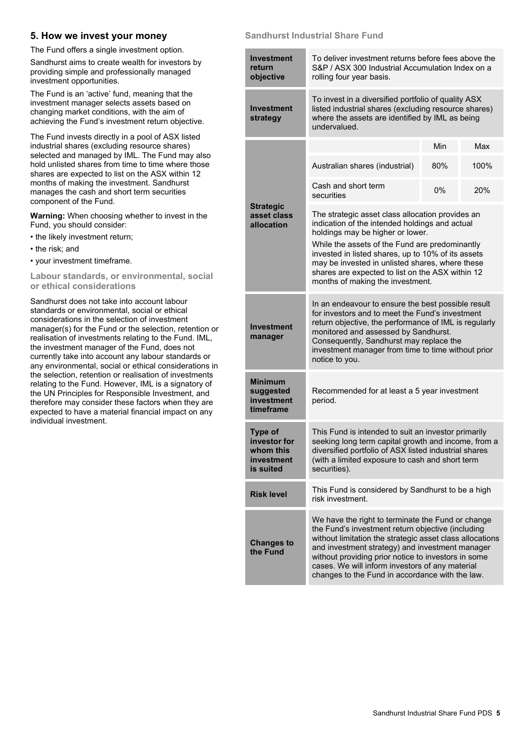### **5. How we invest your money**

The Fund offers a single investment option.

Sandhurst aims to create wealth for investors by providing simple and professionally managed investment opportunities.

The Fund is an 'active' fund, meaning that the investment manager selects assets based on changing market conditions, with the aim of achieving the Fund's investment return objective.

The Fund invests directly in a pool of ASX listed industrial shares (excluding resource shares) selected and managed by IML. The Fund may also hold unlisted shares from time to time where those shares are expected to list on the ASX within 12 months of making the investment. Sandhurst manages the cash and short term securities component of the Fund.

**Warning:** When choosing whether to invest in the Fund, you should consider:

- the likely investment return;
- the risk; and
- your investment timeframe.

**Labour standards, or environmental, social or ethical considerations** 

Sandhurst does not take into account labour standards or environmental, social or ethical considerations in the selection of investment manager(s) for the Fund or the selection, retention or realisation of investments relating to the Fund. IML, the investment manager of the Fund, does not currently take into account any labour standards or any environmental, social or ethical considerations in the selection, retention or realisation of investments relating to the Fund. However, IML is a signatory of the UN Principles for Responsible Investment, and therefore may consider these factors when they are expected to have a material financial impact on any individual investment.

#### **Sandhurst Industrial Share Fund**

| <b>Investment</b><br>return<br>objective                               | To deliver investment returns before fees above the<br>S&P / ASX 300 Industrial Accumulation Index on a<br>rolling four year basis.                                                                                                                                                                                                                                                       |     |      |  |
|------------------------------------------------------------------------|-------------------------------------------------------------------------------------------------------------------------------------------------------------------------------------------------------------------------------------------------------------------------------------------------------------------------------------------------------------------------------------------|-----|------|--|
| <b>Investment</b><br>strategy                                          | To invest in a diversified portfolio of quality ASX<br>listed industrial shares (excluding resource shares)<br>where the assets are identified by IML as being<br>undervalued.                                                                                                                                                                                                            |     |      |  |
|                                                                        |                                                                                                                                                                                                                                                                                                                                                                                           | Min | Max  |  |
|                                                                        | Australian shares (industrial)                                                                                                                                                                                                                                                                                                                                                            | 80% | 100% |  |
|                                                                        | Cash and short term<br>securities                                                                                                                                                                                                                                                                                                                                                         | 0%  | 20%  |  |
| <b>Strategic</b><br>asset class<br>allocation                          | The strategic asset class allocation provides an<br>indication of the intended holdings and actual<br>holdings may be higher or lower.<br>While the assets of the Fund are predominantly<br>invested in listed shares, up to 10% of its assets<br>may be invested in unlisted shares, where these<br>shares are expected to list on the ASX within 12<br>months of making the investment. |     |      |  |
| <b>Investment</b><br>manager                                           | In an endeavour to ensure the best possible result<br>for investors and to meet the Fund's investment<br>return objective, the performance of IML is regularly<br>monitored and assessed by Sandhurst.<br>Consequently, Sandhurst may replace the<br>investment manager from time to time without prior<br>notice to you.                                                                 |     |      |  |
| <b>Minimum</b><br>suggested<br>investment<br>timeframe                 | Recommended for at least a 5 year investment<br>period.                                                                                                                                                                                                                                                                                                                                   |     |      |  |
| <b>Type of</b><br>investor for<br>whom this<br>investment<br>is suited | This Fund is intended to suit an investor primarily<br>seeking long term capital growth and income, from a<br>diversified portfolio of ASX listed industrial shares<br>(with a limited exposure to cash and short term<br>securities).                                                                                                                                                    |     |      |  |
| <b>Risk level</b>                                                      | This Fund is considered by Sandhurst to be a high<br>risk investment.                                                                                                                                                                                                                                                                                                                     |     |      |  |
| <b>Changes to</b><br>the Fund                                          | We have the right to terminate the Fund or change<br>the Fund's investment return objective (including<br>without limitation the strategic asset class allocations<br>and investment strategy) and investment manager<br>without providing prior notice to investors in some<br>cases. We will inform investors of any material<br>changes to the Fund in accordance with the law.        |     |      |  |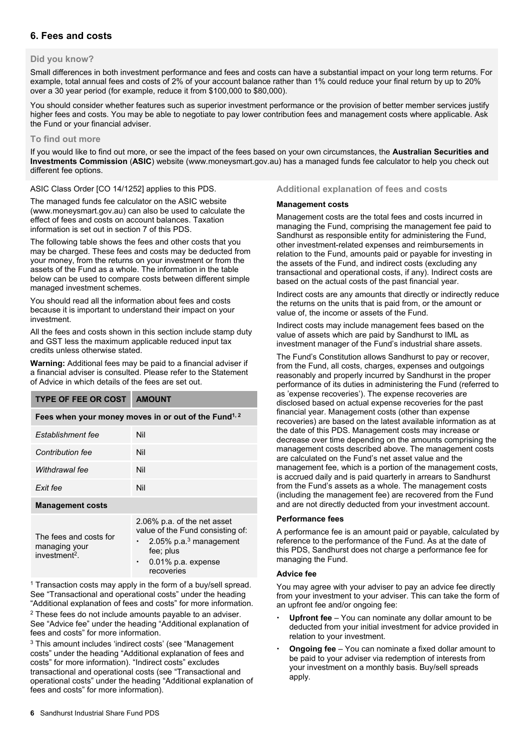# **6. Fees and costs**

#### **Did you know?**

Small differences in both investment performance and fees and costs can have a substantial impact on your long term returns. For example, total annual fees and costs of 2% of your account balance rather than 1% could reduce your final return by up to 20% over a 30 year period (for example, reduce it from \$100,000 to \$80,000).

You should consider whether features such as superior investment performance or the provision of better member services justify higher fees and costs. You may be able to negotiate to pay lower contribution fees and management costs where applicable. Ask the Fund or your financial adviser.

#### **To find out more**

If you would like to find out more, or see the impact of the fees based on your own circumstances, the **Australian Securities and Investments Commission** (**ASIC**) website (www.moneysmart.gov.au) has a managed funds fee calculator to help you check out different fee options.

ASIC Class Order [CO 14/1252] applies to this PDS.

The managed funds fee calculator on the ASIC website (www.moneysmart.gov.au) can also be used to calculate the effect of fees and costs on account balances. Taxation information is set out in section 7 of this PDS.

The following table shows the fees and other costs that you may be charged. These fees and costs may be deducted from your money, from the returns on your investment or from the assets of the Fund as a whole. The information in the table below can be used to compare costs between different simple managed investment schemes.

You should read all the information about fees and costs because it is important to understand their impact on your investment.

All the fees and costs shown in this section include stamp duty and GST less the maximum applicable reduced input tax credits unless otherwise stated.

**Warning:** Additional fees may be paid to a financial adviser if a financial adviser is consulted. Please refer to the Statement of Advice in which details of the fees are set out.

| <b>TYPE OF FEE OR COST</b>                                           | <b>AMOUNT</b>                                                                                                      |  |  |
|----------------------------------------------------------------------|--------------------------------------------------------------------------------------------------------------------|--|--|
| Fees when your money moves in or out of the Fund <sup>1, 2</sup>     |                                                                                                                    |  |  |
| Establishment fee                                                    | Nil                                                                                                                |  |  |
| Contribution fee                                                     | Nil                                                                                                                |  |  |
| Withdrawal fee                                                       | Nil                                                                                                                |  |  |
| Exit fee                                                             | Nil                                                                                                                |  |  |
| <b>Management costs</b>                                              |                                                                                                                    |  |  |
| The fees and costs for<br>managing your<br>investment <sup>2</sup> . | 2.06% p.a. of the net asset<br>value of the Fund consisting of:<br>2.05% p.a. <sup>3</sup> management<br>fee: plus |  |  |

 0.01% p.a. expense recoveries

<sup>1</sup> Transaction costs may apply in the form of a buy/sell spread. See "Transactional and operational costs" under the heading "Additional explanation of fees and costs" for more information.

2 These fees do not include amounts payable to an adviser. See "Advice fee" under the heading "Additional explanation of fees and costs" for more information.

3 This amount includes 'indirect costs' (see "Management costs" under the heading "Additional explanation of fees and costs" for more information). "Indirect costs" excludes transactional and operational costs (see "Transactional and operational costs" under the heading "Additional explanation of fees and costs" for more information).

#### **Additional explanation of fees and costs**

#### **Management costs**

Management costs are the total fees and costs incurred in managing the Fund, comprising the management fee paid to Sandhurst as responsible entity for administering the Fund, other investment-related expenses and reimbursements in relation to the Fund, amounts paid or payable for investing in the assets of the Fund, and indirect costs (excluding any transactional and operational costs, if any). Indirect costs are based on the actual costs of the past financial year.

Indirect costs are any amounts that directly or indirectly reduce the returns on the units that is paid from, or the amount or value of, the income or assets of the Fund.

Indirect costs may include management fees based on the value of assets which are paid by Sandhurst to IML as investment manager of the Fund's industrial share assets.

The Fund's Constitution allows Sandhurst to pay or recover, from the Fund, all costs, charges, expenses and outgoings reasonably and properly incurred by Sandhurst in the proper performance of its duties in administering the Fund (referred to as 'expense recoveries'). The expense recoveries are disclosed based on actual expense recoveries for the past financial year. Management costs (other than expense recoveries) are based on the latest available information as at the date of this PDS. Management costs may increase or decrease over time depending on the amounts comprising the management costs described above. The management costs are calculated on the Fund's net asset value and the management fee, which is a portion of the management costs, is accrued daily and is paid quarterly in arrears to Sandhurst from the Fund's assets as a whole. The management costs (including the management fee) are recovered from the Fund and are not directly deducted from your investment account.

#### **Performance fees**

A performance fee is an amount paid or payable, calculated by reference to the performance of the Fund. As at the date of this PDS, Sandhurst does not charge a performance fee for managing the Fund.

#### **Advice fee**

You may agree with your adviser to pay an advice fee directly from your investment to your adviser. This can take the form of an upfront fee and/or ongoing fee:

- **Upfront fee**  You can nominate any dollar amount to be deducted from your initial investment for advice provided in relation to your investment.
- **Ongoing fee**  You can nominate a fixed dollar amount to be paid to your adviser via redemption of interests from your investment on a monthly basis. Buy/sell spreads apply.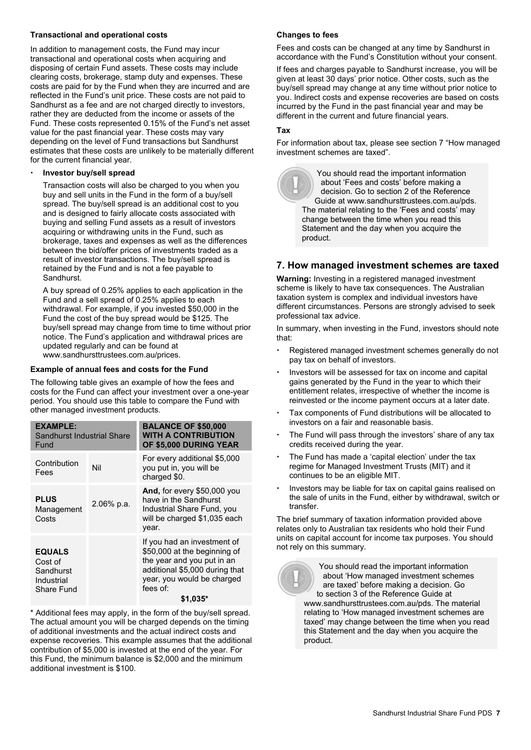#### **Transactional and operational costs**

In addition to management costs, the Fund may incur transactional and operational costs when acquiring and disposing of certain Fund assets. These costs may include clearing costs, brokerage, stamp duty and expenses. These costs are paid for by the Fund when they are incurred and are reflected in the Fund's unit price. These costs are not paid to Sandhurst as a fee and are not charged directly to investors, rather they are deducted from the income or assets of the Fund. These costs represented 0.15% of the Fund's net asset value for the past financial year. These costs may vary depending on the level of Fund transactions but Sandhurst estimates that these costs are unlikely to be materially different for the current financial year.

#### **Investor buy/sell spread**

Transaction costs will also be charged to you when you buy and sell units in the Fund in the form of a buy/sell spread. The buy/sell spread is an additional cost to you and is designed to fairly allocate costs associated with buying and selling Fund assets as a result of investors acquiring or withdrawing units in the Fund, such as brokerage, taxes and expenses as well as the differences between the bid/offer prices of investments traded as a result of investor transactions. The buy/sell spread is retained by the Fund and is not a fee payable to Sandhurst.

A buy spread of 0.25% applies to each application in the Fund and a sell spread of 0.25% applies to each withdrawal. For example, if you invested \$50,000 in the Fund the cost of the buy spread would be \$125. The buy/sell spread may change from time to time without prior notice. The Fund's application and withdrawal prices are updated regularly and can be found at www.sandhursttrustees.com.au/prices.

#### **Example of annual fees and costs for the Fund**

The following table gives an example of how the fees and costs for the Fund can affect your investment over a one-year period. You should use this table to compare the Fund with other managed investment products.

| <b>EXAMPLE:</b><br><b>Sandhurst Industrial Share</b><br>Fund      |            | <b>BALANCE OF \$50,000</b><br><b>WITH A CONTRIBUTION</b><br>OF \$5,000 DURING YEAR                                                                                    |  |
|-------------------------------------------------------------------|------------|-----------------------------------------------------------------------------------------------------------------------------------------------------------------------|--|
| Contribution<br>Fees                                              | Nil        | For every additional \$5,000<br>you put in, you will be<br>charged \$0.                                                                                               |  |
| <b>PLUS</b><br>Management<br>Costs                                | 2.06% p.a. | And, for every \$50,000 you<br>have in the Sandhurst<br>Industrial Share Fund, you<br>will be charged \$1,035 each<br>year.                                           |  |
| <b>EQUALS</b><br>Cost of<br>Sandhurst<br>Industrial<br>Share Fund |            | If you had an investment of<br>\$50,000 at the beginning of<br>the year and you put in an<br>additional \$5,000 during that<br>year, you would be charged<br>fees of: |  |
|                                                                   |            | \$1,035*                                                                                                                                                              |  |

\* Additional fees may apply, in the form of the buy/sell spread. The actual amount you will be charged depends on the timing of additional investments and the actual indirect costs and expense recoveries. This example assumes that the additional contribution of \$5,000 is invested at the end of the year. For this Fund, the minimum balance is \$2,000 and the minimum additional investment is \$100.

#### **Changes to fees**

Fees and costs can be changed at any time by Sandhurst in accordance with the Fund's Constitution without your consent.

If fees and charges payable to Sandhurst increase, you will be given at least 30 days' prior notice. Other costs, such as the buy/sell spread may change at any time without prior notice to you. Indirect costs and expense recoveries are based on costs incurred by the Fund in the past financial year and may be different in the current and future financial years.

#### **Tax**

For information about tax, please see section 7 "How managed investment schemes are taxed".

> You should read the important information about 'Fees and costs' before making a decision. Go to section 2 of the Reference Guide at www.sandhursttrustees.com.au/pds. The material relating to the 'Fees and costs' may change between the time when you read this Statement and the day when you acquire the product.

# **7. How managed investment schemes are taxed**

**Warning:** Investing in a registered managed investment scheme is likely to have tax consequences. The Australian taxation system is complex and individual investors have different circumstances. Persons are strongly advised to seek professional tax advice.

In summary, when investing in the Fund, investors should note that:

- Registered managed investment schemes generally do not pay tax on behalf of investors.
- Investors will be assessed for tax on income and capital gains generated by the Fund in the year to which their entitlement relates, irrespective of whether the income is reinvested or the income payment occurs at a later date.
- Tax components of Fund distributions will be allocated to investors on a fair and reasonable basis.
- The Fund will pass through the investors' share of any tax credits received during the year.
- The Fund has made a 'capital election' under the tax regime for Managed Investment Trusts (MIT) and it continues to be an eligible MIT.
- Investors may be liable for tax on capital gains realised on the sale of units in the Fund, either by withdrawal, switch or transfer.

The brief summary of taxation information provided above relates only to Australian tax residents who hold their Fund units on capital account for income tax purposes. You should not rely on this summary.

> You should read the important information about 'How managed investment schemes are taxed' before making a decision. Go to section 3 of the Reference Guide at www.sandhursttrustees.com.au/pds. The material relating to 'How managed investment schemes are taxed' may change between the time when you read this Statement and the day when you acquire the product.